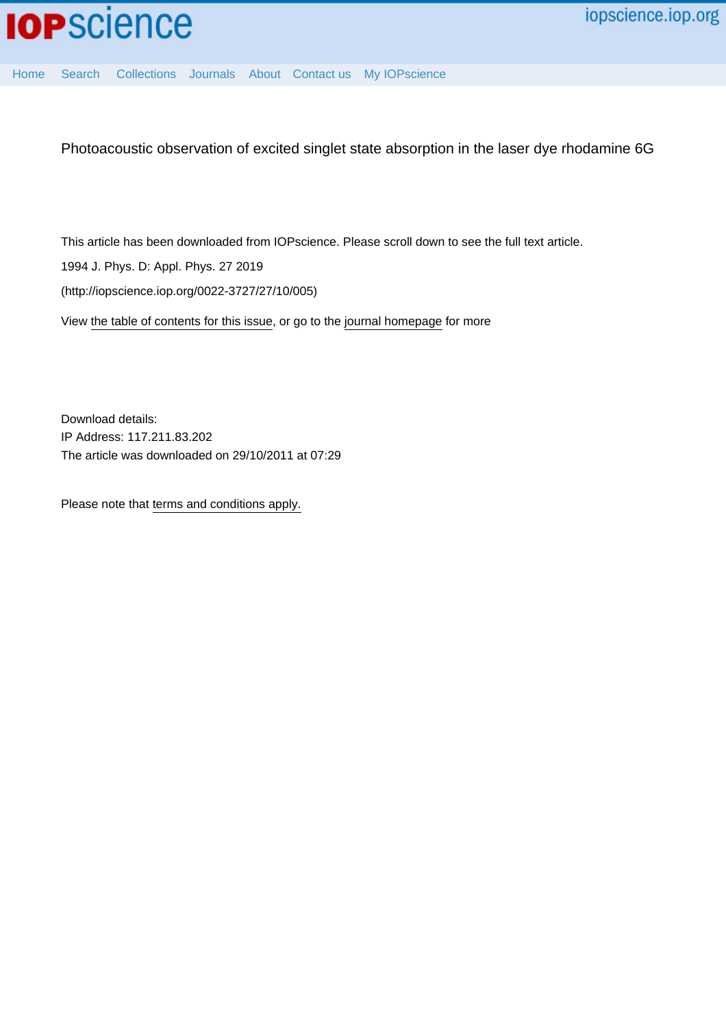

[Home](http://iopscience.iop.org/) [Search](http://iopscience.iop.org/search) [Collections](http://iopscience.iop.org/collections) [Journals](http://iopscience.iop.org/journals) [About](http://iopscience.iop.org/page/aboutioppublishing) [Contact us](http://iopscience.iop.org/contact) [My IOPscience](http://iopscience.iop.org/myiopscience)

Photoacoustic observation of excited singlet state absorption in the laser dye rhodamine 6G

This article has been downloaded from IOPscience. Please scroll down to see the full text article.

1994 J. Phys. D: Appl. Phys. 27 2019

(http://iopscience.iop.org/0022-3727/27/10/005)

View [the table of contents for this issue](http://iopscience.iop.org/0022-3727/27/10), or go to the [journal homepage](http://iopscience.iop.org/0022-3727) for more

Download details: IP Address: 117.211.83.202 The article was downloaded on 29/10/2011 at 07:29

Please note that [terms and conditions apply.](http://iopscience.iop.org/page/terms)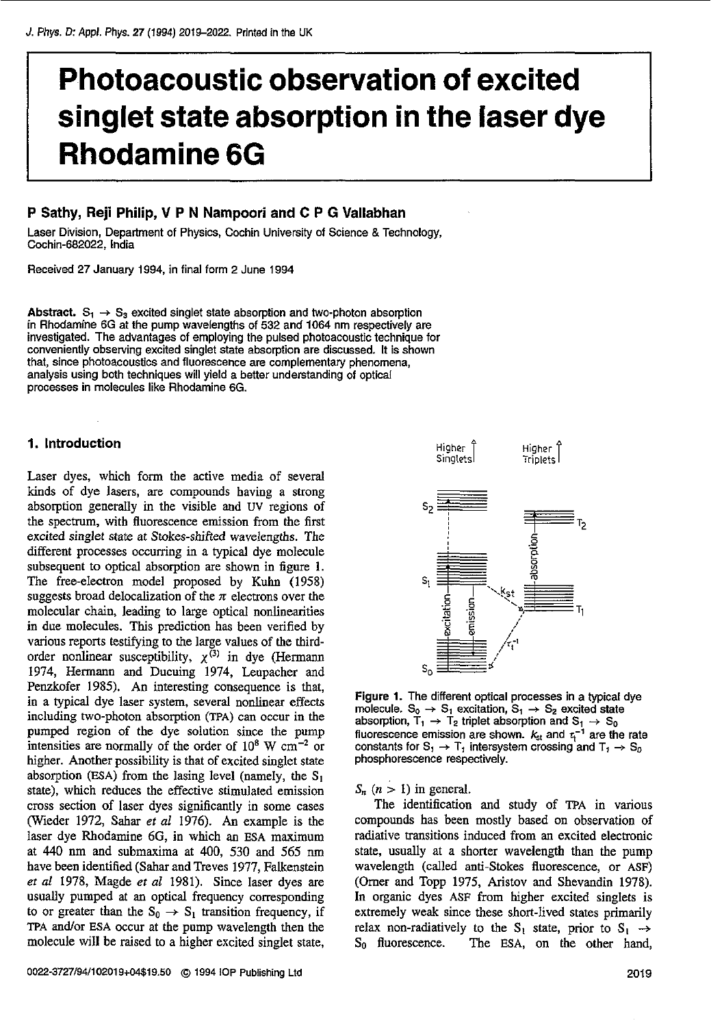# **Photoacoustic observation of excited singlet state absorption in the laser dye Rhodamine 6G**

# **P Sathy, Reji Philip, V P N Nampoori and C P G Vallabhan**

Laser Division, Department of Physics, Cochin University of Science & Technology, Cochin-682022, India

Received 27 January 1994, in final form 2 June 1994

Abstract.  $S_1 \rightarrow S_3$  excited singlet state absorption and two-photon absorption in Rhodamine **6G** at the pump wavelengths of 532 and **1064** nm respectively are investigated. The advantages of employing the pulsed photoacoustic technique for conveniently observing excited singlet state absorption are discussed. **It is** shown that, since photoacoustics and fluorescence are complementary phenomena, analysis using both techniques will yield a better understanding of optical processes in molecules like Rhodamine **6G.** 

# **1. Introduction**

Laser dyes, which form the active media of several kinds of dye lasers, are compounds having a strong absorption generally in the visible and uv **regions** of the spectrum, with fluorescence emission from the first excited singlet state at Stokes-shifted wavelengths. The different processes occurring in a typical dye molecule subsequent to optical absorption are shown in figure 1. The free-electron model proposed by Kuhn (1958) suggests broad delocalization of the  $\pi$  electrons over the molecular chain, leading *to* large optical nonlinearities in due molecules. This prediction has been verified by various reports testifying to the large values of the thirdorder nonlinear susceptibility,  $\chi^{(3)}$  in dye (Hermann 1974, Hermann and Ducuing 1974, Leupacher and Penzkofer 1985). An interesting consequence is that, in a typical dye laser system, several nonlinear effects including two-photon absorption **(PA)** can occur in the pumped region of the dye solution since the pump intensities are normally of the order of  $10^8$  W  $cm^{-2}$  or higher. Another possibility is that of excited singlet state absorption **(ESA)** from the lasing level (namely, the  $S_1$ state), which reduces the effective stimulated emission cross section of laser dyes significantly in some cases (Weder 1972, Sahar *et ai* 1976). An example **is** the laser dye Rhodamine *6G,* in which an **ESA** maximum at 440 nm and submaxima at 400, 530 and 565 nm have been identified (Sahar and Treves 1977, Falkenstein **et al** 1978, Magde **er** *al* 1981). Since laser dyes are usually pumped at **an** optical frequency corresponding to or greater than the  $S_0 \rightarrow S_1$  transition frequency, if TPA and/or ESA occur at the pump wavelength then the molecule will be raised to a higher excited singlet state,



Figure **1.** The different optical processes in a typical dye molecule.  $S_0 \rightarrow S_1$  excitation,  $S_1 \rightarrow S_2$  excited state absorption,  $\tilde{T}_1 \rightarrow \tilde{T}_2$  triplet absorption and  $S_1 \rightarrow S_0$  fluorescence emission are shown.  $k_{st}$  and  $\tau_t^{-1}$  are the rate constants for  $S_1 \rightarrow T_1$  intersystem crossing and  $T_1 \rightarrow S_0$ phosphorescence respectively.

 $S_n$   $(n > 1)$  in general.

The identification and study of TpA in various compounds **has** been mostly based on observation **of**  radiative transitions induced from **an** excited electronic state, usually at a shorter wavelength than the pump wavelength (called anti-Stokes fluorescence, or **ASF)**  (Omer and Topp 1975, Aristov and Shevandin 1978). In organic dyes **ASF** from higher excited singlets is extremely weak since these short-lived states primarily relax non-radiatively to the  $S_1$  state, prior to  $S_1 \rightarrow S_0$  fluorescence. The ESA, on the other hand, The ESA, on the other hand,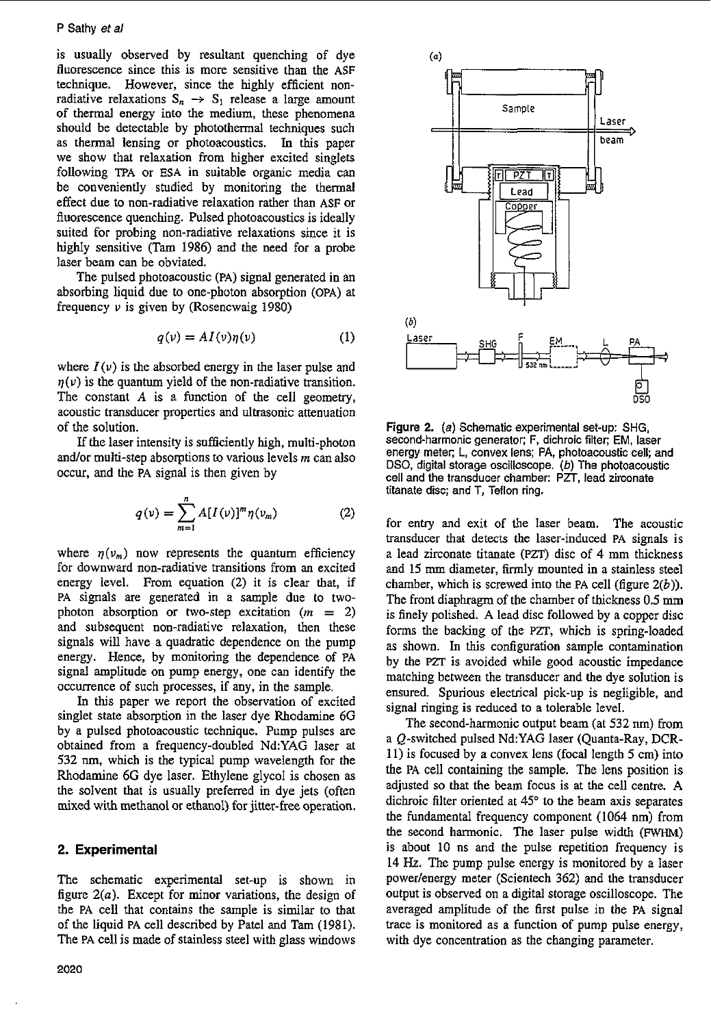## **P** Sathy et *a/*

is usually observed by resultant quenching of dye fluorescence since this is more sensitive than the **ASF**  technique. However, since the highly efficient nonradiative relaxations  $S_n \rightarrow S_1$  release a large amount of thermal energy into the medium, these phenomena should be detectable by photothermal techniques such as thermal lensing or photoacoustics. In **this** paper we show that relaxation from higher excited singlets following **TFA** or **ESA** in suitable organic media can be conveniently studied by monitoring the thermal effect due to non-radiative relaxation rather than **ASF** or fluorescence quenching. Pulsed photoacoustics is ideally suited for probing non-radiative relaxations since it is highly sensitive (Tam 1986) and the need for a probe laser beam can be obviated.

The pulsed photoacoustic **(PA)** signal generated in an absorbing liquid due to one-photon absorption **(OPA)** at frequency  $\nu$  is given by (Rosencwaig 1980)

$$
q(\nu) = A I(\nu) \eta(\nu) \tag{1}
$$

where  $I(\nu)$  is the absorbed energy in the laser pulse and  $q(\nu)$  is the quantum yield of the non-radiative transition. The constant *A* is a function of the cell geometry, acoustic transducer properties and ultrasonic attenuation of the solution.

If the laser intensity is sufficiently high, multi-photon and/or multi-step absorptions to various levels *m* can also occur, and the **PA** signal is then given by

$$
q(v) = \sum_{m=1}^{n} A[I(v)]^{m} \eta(v_{m})
$$
 (2)

where  $\eta(v_m)$  now represents the quantum efficiency for downward non-radiative transitions from an excited energy level. From equation **(2)** it is clear that, if **PA** signals are generated in a sample due to twophoton absorption or two-step excitation  $(m = 2)$ and subsequent non-radiative relaxation, then these signals will have a quadratic dependence on the pump energy. Hence, by monitoring the dependence of **PA**  signal amplitude on pump energy, one can identify the occurrence of such processes, if any, in the sample.

**In** this paper we report the observation of excited singlet state absorption in the laser dye Rhodamine **6G**  by a pulsed photoacoustic technique. Pump pulses are obtained from a frequency-doubled **NdYAG** laser at **532** nm, which is the typical pump wavelength for the Rhodamine 6G dye laser. Ethylene glycol is chosen as the solvent that is usually preferred in dye jets (often mixed with methanol or ethanol) **for** jitter-free operation.

## **2. Experimental**

The schematic experimental set-up is shown in figure *2(a).* Except for minor variations, the design **of**  the **PA** cell that contains the sample is similar to that of the liquid **PA** cell described by Patel and Tam (1981). The **PA** cell is made of stainless steel with glass windows



Figure **2.** *(a)* Schematic experimental set-up: SHG, second-harmonic generator; F, dichroic filter: EM, laser energy meter; L, convex lens: **PA,** photoacoustic cell; and DSO, digital storage oscilloscope. *(b)* The photoacoustic cell and the transducer chamber: PZT, lead zirconate titanate disc; and T, Teflon ring.

for entry and exit of the laser beam. The acoustic transducer that detects the laser-induced **PA** signals is a lead zirconate titanate **(PZT)** disc of **4** mm thickness and **15** mm diameter, firmly mounted in a stainless steel chamber, which is screwed into the **PA** cell (figure *2(b)).*  The front diaphragm of the chamber of thickness **0.5** mm is finely polished. **A** lead disc followed by a copper disc forms the backing of the **PZT,** which is spring-loaded as shown. **In this** configuration sample contamination by the **PZT** is avoided while good acoustic impedance matching between the transducer and the dye solution is ensured. Spurious electrical pick-up is negligible, and signal ringing is reduced to a tolerable level.

The second-harmonic output beam (at 532 nm) from a Q-witched pulsed **NdYAG** laser (Quanta-Ray, DCR-11) is focused by a convex lens (focal length **5** cm) into the **PA** cell containing the sample. The lens position is adjusted so that the beam focus is at the cell centre. **A**  dichroic filter oriented at **45"** to the beam axis separates the fundamental frequency component (1064 **nm)** from the second harmonic. The laser pulse width (FWHM) **is** about 10 ns and the pulse repetition frequency **is 14** *Hz.* The pump pulse energy is monitored by a laser power/energy meter (Scientech 362) and the transducer output is observed on a digital storage oscilloscope. The averaged amplitude of the **first** pulse in the **PA** signal trace is monitored as a function of pump pulse energy, with dye concentration as the changing parameter.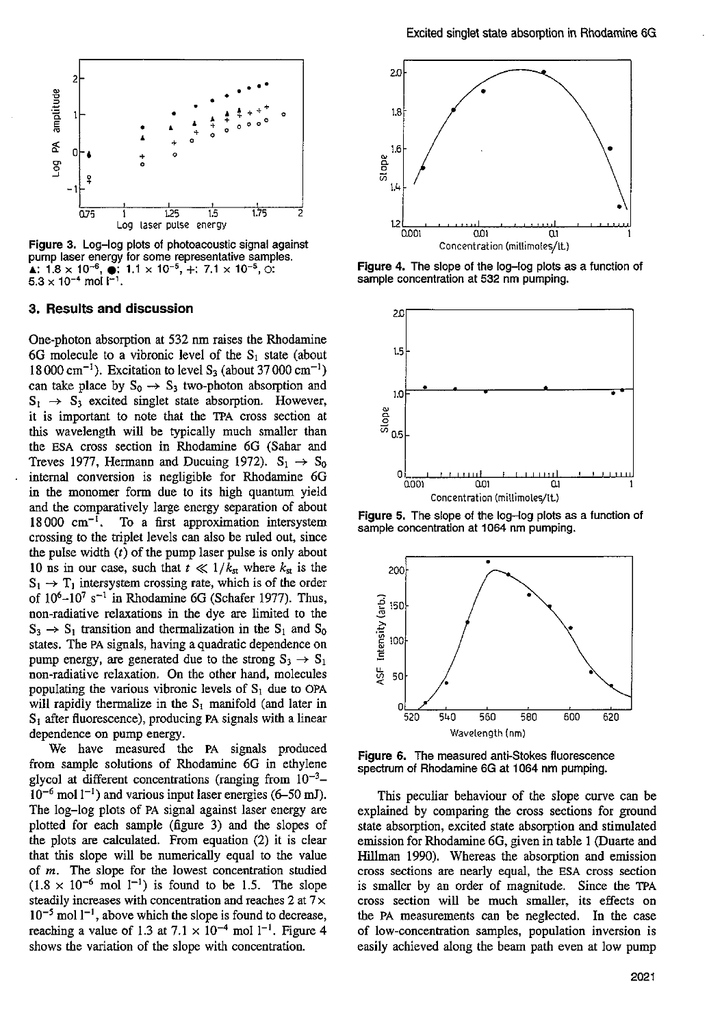

Figure **3.** Log-log plots of photoacoustic signal against  $\blacktriangle$ : **1.8** x 10<sup>-6</sup>,  $\blacklozenge$ : **1.1** x 10<sup>-5</sup>, +: 7.1 x 10<sup>-5</sup>,  $\odot$ :  $5.3 \times 10^{-4}$  mol  $1^{-1}$ .

## **3. Results and discussion**

One-photon absorption at **532** nm raises the Rhodamine 6G molecule to a vibronic level of the S<sub>1</sub> state (about 18 000 cm-I). Excitation to level **S3** (about **37** 000 cm-I) can take place by  $S_0 \rightarrow S_3$  two-photon absorption and  $S_1 \rightarrow S_3$  excited singlet state absorption. However, it **is** important to note that the **TPA** cross section at this wavelength will be typically much smaller than the **ESA** cross section in Rhodamine *6G* (Sahar and Treves 1977, Hermann and Ducuing 1972).  $S_1 \rightarrow S_0$ intemal conversion is negligible for Rhodamine *6G*  in the monomer form due to its high quantum yield and the comparatively large energy separation of about  $18000 \text{ cm}^{-1}$ . To a first approximation intersystem crossing to the triplet levels can also be mled out, since the pulse width *(t)* of the pump laser pulse is only about 10 ns in our case, such that  $t \ll 1/k_{st}$  where  $k_{st}$  is the  $S_1 \rightarrow T_1$  intersystem crossing rate, which is of the order of **106-107 s-l** in Rhodamine *6G* (Schafer **1977).** Thus, non-radiative relaxations in the dye are limited to the  $S_3 \rightarrow S_1$  transition and thermalization in the  $S_1$  and  $S_0$ states. The **PA** signals, having a quadratic dependence on pump energy, are generated due to the strong  $S_3 \rightarrow S_1$ non-radiative relaxation. On the other hand, molecules populating the various vibronic levels of  $S<sub>i</sub>$  due to OPA will rapidly thermalize in the  $S_1$  manifold (and later in **SI** after fluorescence), producing **PA** signals with a linear dependence on pump energy.

We have measured the **PA** signals produced from sample solutions of Rhodamine *6G* in ethylene glycol at different concentrations (ranging from  $10^{-3}$ –  $10^{-6}$  mol  $1^{-1}$ ) and various input laser energies  $(6-50 \text{ mJ})$ . The log-log plots of **PA** signal against laser energy are plotted for each sample (figure **3)** and the slopes of the plots are calculated. From equation **(2)** it is clear that this slope will be numerically equal to the value of *m.* The slope for the lowest concentration studied  $(1.8 \times 10^{-6} \text{ mol } l^{-1})$  is found to be 1.5. The slope steadily increases with concentration and reaches **2** at **7** x  $10^{-5}$  mol  $1^{-1}$ , above which the slope is found to decrease, reaching a value of 1.3 at  $7.1 \times 10^{-4}$  mol 1<sup>-1</sup>. Figure 4 shows the variation of the slope with concentration,



Figure **4.** The slope of the log-log plots as a function of sample concentration at 532 nm pumping.



Figure **5.** The slope of the log-log plots as a function **of**  sample concentration at **1064** nm pumping.



Figure **6.** The measured anti-Stokes fluorescence spectrum of Rhodamine **6G** at **1064** nm pumping.

This peculiar behaviour of the slope curve can be explained by comparing the cross sections for ground state absorption, excited state absorption and stimulated emission for Rhodamine *6G,* given in table **1** (Duarte and Hillman **1990).** Whereas the absorption and emission cross sections are nearly equal, the **ESA** cross section is smaller by an order of magnitude. Since the **TPA**  cross section will be much smaller, its effects **on**  the **PA** measurements can be neglected. In the case **of** low-concentration samples, population inversion is easily achieved along the beam path even at low pump